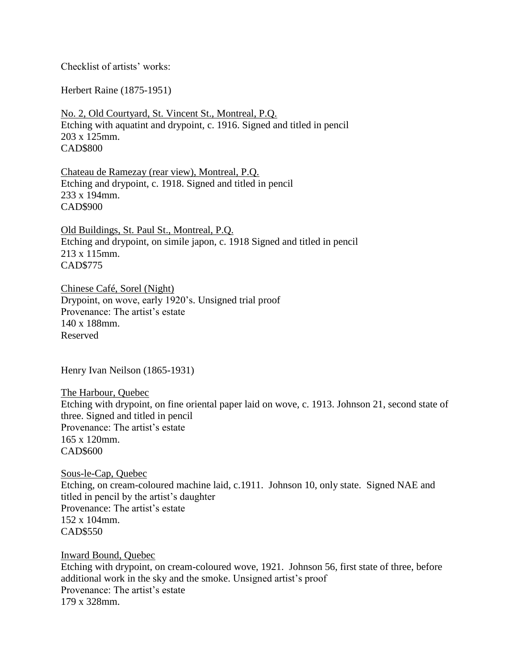Checklist of artists' works:

Herbert Raine (1875-1951)

No. 2, Old Courtyard, St. Vincent St., Montreal, P.Q. Etching with aquatint and drypoint, c. 1916. Signed and titled in pencil 203 x 125mm. CAD\$800

Chateau de Ramezay (rear view), Montreal, P.Q. Etching and drypoint, c. 1918. Signed and titled in pencil 233 x 194mm. CAD\$900

Old Buildings, St. Paul St., Montreal, P.Q. Etching and drypoint, on simile japon, c. 1918 Signed and titled in pencil 213 x 115mm. CAD\$775

Chinese Café, Sorel (Night) Drypoint, on wove, early 1920's. Unsigned trial proof Provenance: The artist's estate 140 x 188mm. Reserved

Henry Ivan Neilson (1865-1931)

The Harbour, Quebec Etching with drypoint, on fine oriental paper laid on wove, c. 1913. Johnson 21, second state of three. Signed and titled in pencil Provenance: The artist's estate 165 x 120mm. CAD\$600

Sous-le-Cap, Quebec Etching, on cream-coloured machine laid, c.1911. Johnson 10, only state. Signed NAE and titled in pencil by the artist's daughter Provenance: The artist's estate 152 x 104mm. CAD\$550

Inward Bound, Quebec Etching with drypoint, on cream-coloured wove, 1921. Johnson 56, first state of three, before additional work in the sky and the smoke. Unsigned artist's proof Provenance: The artist's estate 179 x 328mm.